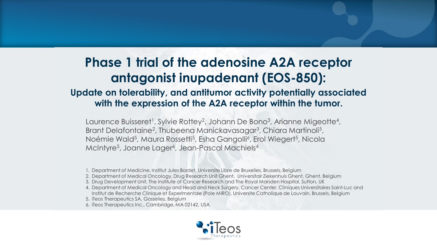## **Phase 1 trial of the adenosine A2A receptor antagonist inupadenant (EOS-850):**

### **Update on tolerability, and antitumor activity potentially associated with the expression of the A2A receptor within the tumor.**

Laurence Buisseret<sup>1</sup>, Sylvie Rottey<sup>2</sup>, Johann De Bono<sup>3</sup>, Arianne Migeotte<sup>4</sup>, Brant Delafontaine<sup>2</sup>, Thubeena Manickavasagar<sup>3</sup>, Chiara Martinoli<sup>5</sup>, Noémie Wald<sup>5</sup>, Maura Rossetti<sup>5</sup>, Esha Gangolli<sup>6</sup>, Erol Wiegert<sup>5</sup>, Nicola McIntyre<sup>5</sup>, Joanne Lager<sup>6</sup>, Jean-Pascal Machiels<sup>4</sup>

- 1. Department of Medicine, Institut Jules Bordet, Universite Libre de Bruxelles, Brussels, Belgium
- 2. Department of Medical Oncology, Drug Research Unit Ghent, Universitair Ziekenhuis Ghent, Ghent, Belgium
- 3. Drug Development Unit, The Institute of Cancer Research and The Royal Marsden Hospital, Sutton, UK
- 4. Department of Medical Oncology and Head and Neck Surgery, Cancer Center, Cliniques Universitaires Saint-Luc and Institut de Recherche Clinique et Experimentale (Pole MIRO), Universite Catholique de Louvain, Brussels, Belgium
- 5. iTeos Therapeutics SA, Gosselies, Belgium
- 6. iTeos Therapeutics Inc., Cambridge, MA 02142, USA

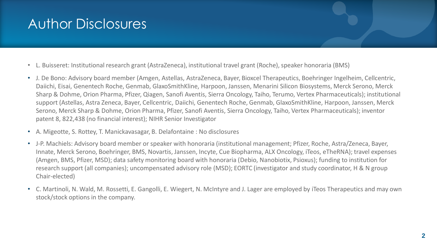## Author Disclosures

- L. Buisseret: Institutional research grant (AstraZeneca), institutional travel grant (Roche), speaker honoraria (BMS)
- J. De Bono: Advisory board member (Amgen, Astellas, AstraZeneca, Bayer, Bioxcel Therapeutics, Boehringer Ingelheim, Cellcentric, Daiichi, Eisai, Genentech Roche, Genmab, GlaxoSmithKline, Harpoon, Janssen, Menarini Silicon Biosystems, Merck Serono, Merck Sharp & Dohme, Orion Pharma, Pfizer, Qiagen, Sanofi Aventis, Sierra Oncology, Taiho, Terumo, Vertex Pharmaceuticals); institutional support (Astellas, Astra Zeneca, Bayer, Cellcentric, Daiichi, Genentech Roche, Genmab, GlaxoSmithKline, Harpoon, Janssen, Merck Serono, Merck Sharp & Dohme, Orion Pharma, Pfizer, Sanofi Aventis, Sierra Oncology, Taiho, Vertex Pharmaceuticals); inventor patent 8, 822,438 (no financial interest); NIHR Senior Investigator
- A. Migeotte, S. Rottey, T. Manickavasagar, B. Delafontaine : No disclosures
- J-P. Machiels: Advisory board member or speaker with honoraria (institutional management; Pfizer, Roche, Astra/Zeneca, Bayer, Innate, Merck Serono, Boehringer, BMS, Novartis, Janssen, Incyte, Cue Biopharma, ALX Oncology, iTeos, eTheRNA); travel expenses (Amgen, BMS, Pfizer, MSD); data safety monitoring board with honoraria (Debio, Nanobiotix, Psioxus); funding to institution for research support (all companies); uncompensated advisory role (MSD); EORTC (investigator and study coordinator, H & N group Chair-elected)
- C. Martinoli, N. Wald, M. Rossetti, E. Gangolli, E. Wiegert, N. McIntyre and J. Lager are employed by iTeos Therapeutics and may own stock/stock options in the company.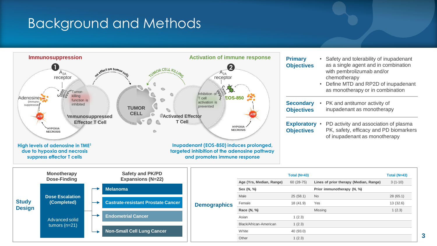## Background and Methods



Other 1 (2.3)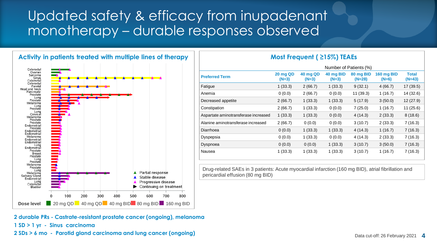## Updated safety & efficacy from inupadenant monotherapy – durable responses observed



|                                      | Number of Patients (%)     |                            |                      |                       |                       |                          |
|--------------------------------------|----------------------------|----------------------------|----------------------|-----------------------|-----------------------|--------------------------|
| <b>Preferred Term</b>                | <b>20 mg QD</b><br>$(N=3)$ | <b>40 mg QD</b><br>$(N=3)$ | 40 mg BID<br>$(N=3)$ | 80 mg BID<br>$(N=28)$ | 160 mg BID<br>$(N=6)$ | <b>Total</b><br>$(N=43)$ |
| Fatigue                              | 1(33.3)                    | 2(66.7)                    | 1(33.3)              | 9(32.1)               | 4(66.7)               | 17(39.5)                 |
| Anemia                               | 0(0.0)                     | 2(66.7)                    | 0(0.0)               | 11(39.3)              | 1(16.7)               | 14 (32.6)                |
| Decreased appetite                   | 2(66.7)                    | 1(33.3)                    | 1(33.3)              | 5(17.9)               | 3(50.0)               | 12(27.9)                 |
| Constipation                         | 2(66.7)                    | 1(33.3)                    | 0(0.0)               | 7(25.0)               | 1(16.7)               | 11(25.6)                 |
| Aspartate aminotransferase increased | 1(33.3)                    | 1(33.3)                    | 0(0.0)               | 4 (14.3)              | 2(33.3)               | 8(18.6)                  |
| Alanine aminotransferase increased   | 2(66.7)                    | 0(0.0)                     | 0(0.0)               | 3(10.7)               | 2(33.3)               | 7(16.3)                  |
| Diarrhoea                            | 0(0.0)                     | 1(33.3)                    | 1(33.3)              | 4(14.3)               | 1(16.7)               | 7(16.3)                  |
| Dyspepsia                            | 0(0.0)                     | 1(33.3)                    | 0(0.0)               | 4 (14.3)              | 2(33.3)               | 7(16.3)                  |
| Dyspnoea                             | 0(0.0)                     | 0(0.0)                     | 1(33.3)              | 3(10.7)               | 3(50.0)               | 7(16.3)                  |
| Nausea                               | 1(33.3)                    | 1(33.3)                    | 1(33.3)              | 3(10.7)               | 1(16.7)               | 7(16.3)                  |

Drug-related SAEs in 3 patients: Acute myocardial infarction (160 mg BID), atrial fibrillation and pericardial effusion (80 mg BID)

**2 durable PRs - Castrate-resistant prostate cancer (ongoing), melanoma 1 SD > 1 yr - Sinus carcinoma** 

**2 SDs > 6 mo - Parotid gland carcinoma and lung cancer (ongoing)**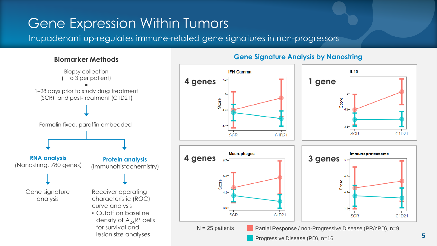# Gene Expression Within Tumors

Inupadenant up-regulates immune-related gene signatures in non-progressors



### **Biomarker Methods Gene Signature Analysis by Nanostring**

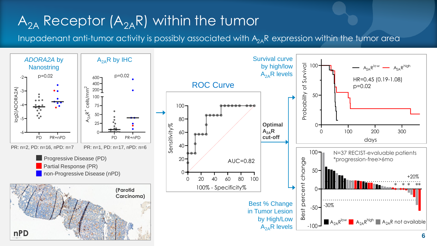# $A_{2A}$  Receptor  $(A_{2A}R)$  within the tumor

Inupadenant anti-tumor activity is possibly associated with  $A_{2A}R$  expression within the tumor area